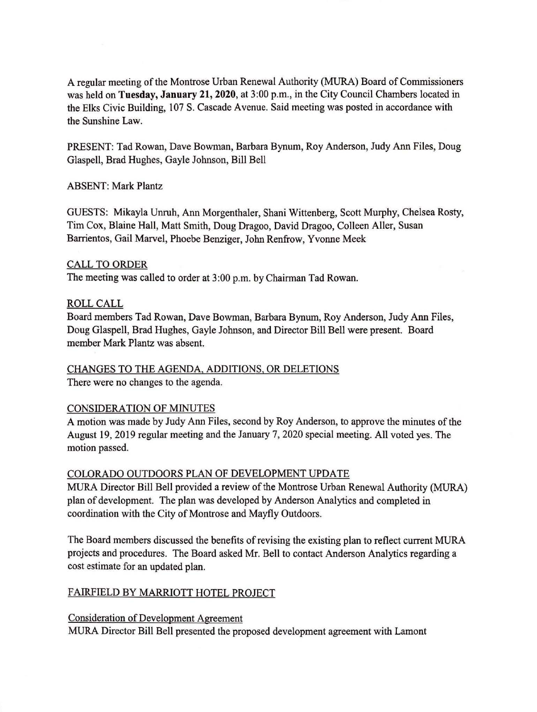A regular meeting of the Montrose Urban Renewal Authority (MURA) Board of Commissioners was held on **Tuesday, January 21, 2020**, at 3:00 p.m., in the City Council Chambers located in the Elks Civic Building, 107 S. Cascade Avenue. Said meeting was posted in accordance with the Sunshine Law.

PRESENT: Tad Rowan, Dave Bowman, Barbara Bynum, Roy Anderson, Judy Ann Files, Doug Glaspell, Brad Hughes, Gayle Johnson, Bill Bell

ABSENT: Mark Plantz

GUESTS: Mikayla Unruh, Ann Morgenthaler, Shani Wittenberg, Scott Murphy, Chelsea Rosty, Tim Cox, Blaine Hall, Matt Smith, Doug Dragoo, David Dragoo, Colleen Aller, Susan Barrientos, Gail Marvel, Phoebe Benziger, John Renfrow, Yvonne Meek

### CALL TO ORDER

The meeting was called to order at 3:00 p.m. by Chairman Tad Rowan.

### ROLLCALL

Board members Tad Rowan, Dave Bowman, Barbara Bynum, Roy Anderson, Judy Ann Files, Doug Glaspell, Brad Hughes, Gayle Johnson, and Director Bill Bell were present. Board member Mark Plantz was absent.

# CHANGES TO THE AGENDA, ADDITIONS, OR DELETIONS

There were no changes to the agenda.

# CONSIDERATION OF MINUTES

A motion was made by Judy Ann Files, second by Roy Anderson, to approve the minutes of the August 19, 2019 regular meeting and the January 7, 2020 special meeting. All voted yes. The motion passed.

# COLORADO OUTDOORS PLAN OF DEVELOPMENT UPDATE

MURA Director Bill Bell provided a review of the Montrose Urban Renewal Authority (MURA) plan of development. The plan was developed by Anderson Analytics and completed in coordination with the City of Montrose and Mayfly Outdoors.

The Board members discussed the benefits of revising the existing plan to reflect current MURA projects and procedures. The Board asked Mr. Bell to contact Anderson Analytics regarding a cost estimate for an updated plan.

# FAIRFIELD BY MARRIOTT HOTEL PROJECT

Consideration of Development Agreement MURA Director Bill Bell presented the proposed development agreement with Lamont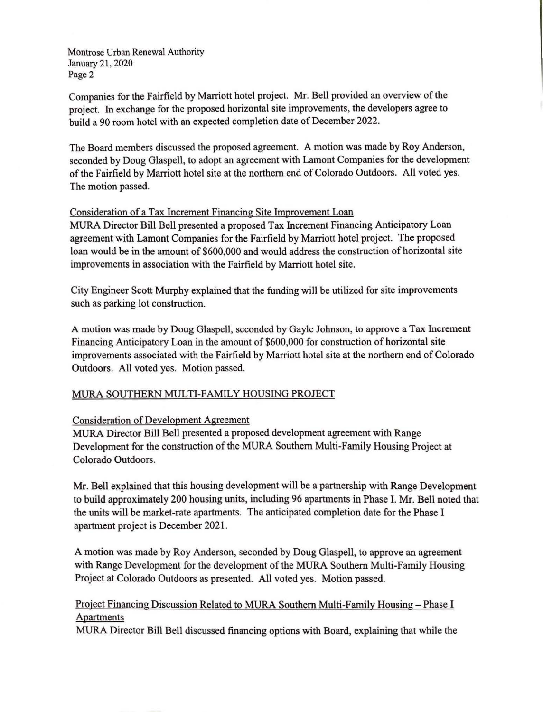Montrose Urban Renewal Authority January 21, 2020 Page 2

Companies for the Fairfield by Marriott hotel project. Mr. Bell provided an overview of the project. In exchange for the proposed horizontal site improvements, the developers agree to build a 90 room hotel with an expected completion date of December 2022.

The Board members discussed the proposed agreement. A motion was made by Roy Anderson, seconded by Doug Glaspell, to adopt an agreement with Lamont Companies for the development of the Fairfield by Marriott hotel site at the northern end of Colorado Outdoors. All voted yes. The motion passed.

### Consideration of a Tax Increment Financing Site Improvement Loan

MURA Director Bill Bell presented a proposed Tax Increment Financing Anticipatory Loan agreement with Lamont Companies for the Fairfield by Marriott hotel project. The proposed loan would be in the amount of \$600,000 and would address the construction of horizontal site improvements in association with the Fairfield by Marriott hotel site.

City Engineer Scott Murphy explained that the funding will be utilized for site improvements such as parking lot construction.

A motion was made by Doug Glaspell, seconded by Gayle Johnson, to approve a Tax Increment Financing Anticipatory Loan in the amount of \$600,000 for construction of horizontal site improvements associated with the Fairfield by Marriott hotel site at the northern end of Colorado Outdoors. All voted yes. Motion passed.

### MURA SOUTHERN MULTI-FAMILY HOUSING PROJECT

#### Consideration of Development Agreement

MURA Director Bill Bell presented a proposed development agreement with Range Development for the construction of the MURA Southern Multi-Family Housing Project at Colorado Outdoors.

Mr. Bell explained that this housing development will be a partnership with Range Development to build approximately 200 housing units, including 96 apartments in Phase I. Mr. Bell noted that the units will be market-rate apartments. The anticipated completion date for the Phase I apartment project is December 2021 .

A motion was made by Roy Anderson, seconded by Doug Glaspell, to approve an agreement with Range Development for the development of the MURA Southern Multi-Family Housing Project at Colorado Outdoors as presented. All voted yes. Motion passed.

# Project Financing Discussion Related to MURA Southern Multi-Family Housing- Phase I Apartments

MURA Director Bill Bell discussed financing options with Board, explaining that while the